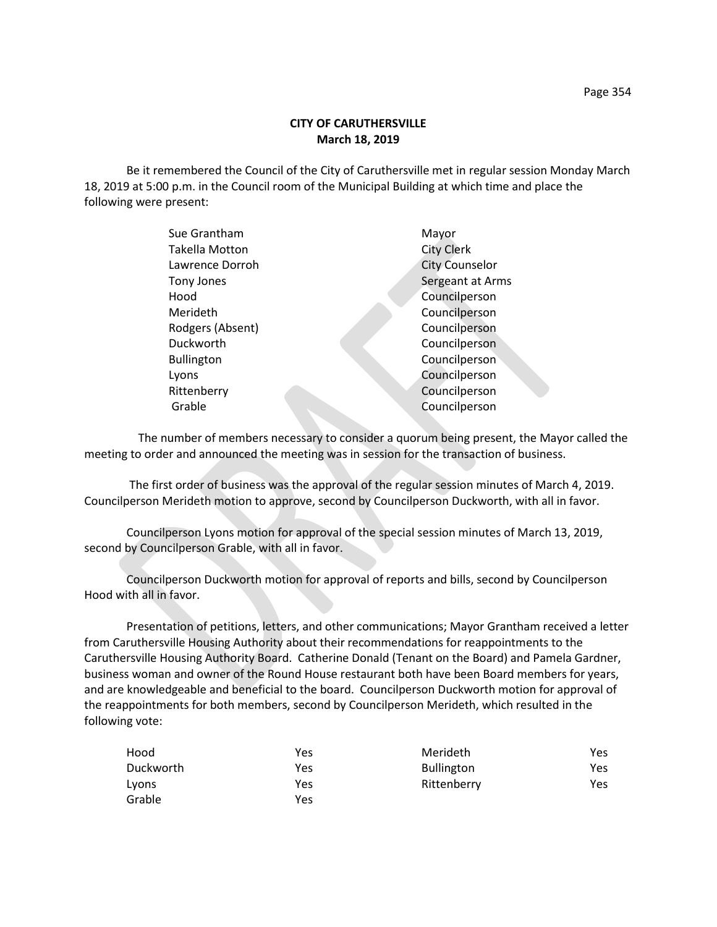# **CITY OF CARUTHERSVILLE March 18, 2019**

Be it remembered the Council of the City of Caruthersville met in regular session Monday March 18, 2019 at 5:00 p.m. in the Council room of the Municipal Building at which time and place the following were present:

| Sue Grantham      | Mayor                 |
|-------------------|-----------------------|
| Takella Motton    | <b>City Clerk</b>     |
| Lawrence Dorroh   | <b>City Counselor</b> |
| Tony Jones        | Sergeant at Arms      |
| Hood              | Councilperson         |
| Merideth          | Councilperson         |
| Rodgers (Absent)  | Councilperson         |
| Duckworth         | Councilperson         |
| <b>Bullington</b> | Councilperson         |
| Lyons             | Councilperson         |
| Rittenberry       | Councilperson         |
| Grable            | Councilperson         |
|                   |                       |

 The number of members necessary to consider a quorum being present, the Mayor called the meeting to order and announced the meeting was in session for the transaction of business.

The first order of business was the approval of the regular session minutes of March 4, 2019. Councilperson Merideth motion to approve, second by Councilperson Duckworth, with all in favor.

Councilperson Lyons motion for approval of the special session minutes of March 13, 2019, second by Councilperson Grable, with all in favor.

Councilperson Duckworth motion for approval of reports and bills, second by Councilperson Hood with all in favor.

Presentation of petitions, letters, and other communications; Mayor Grantham received a letter from Caruthersville Housing Authority about their recommendations for reappointments to the Caruthersville Housing Authority Board. Catherine Donald (Tenant on the Board) and Pamela Gardner, business woman and owner of the Round House restaurant both have been Board members for years, and are knowledgeable and beneficial to the board. Councilperson Duckworth motion for approval of the reappointments for both members, second by Councilperson Merideth, which resulted in the following vote:

| Hood      | Yes | Merideth          | Yes |
|-----------|-----|-------------------|-----|
| Duckworth | Yes | <b>Bullington</b> | Yes |
| Lyons     | Yes | Rittenberry       | Yes |
| Grable    | Yes |                   |     |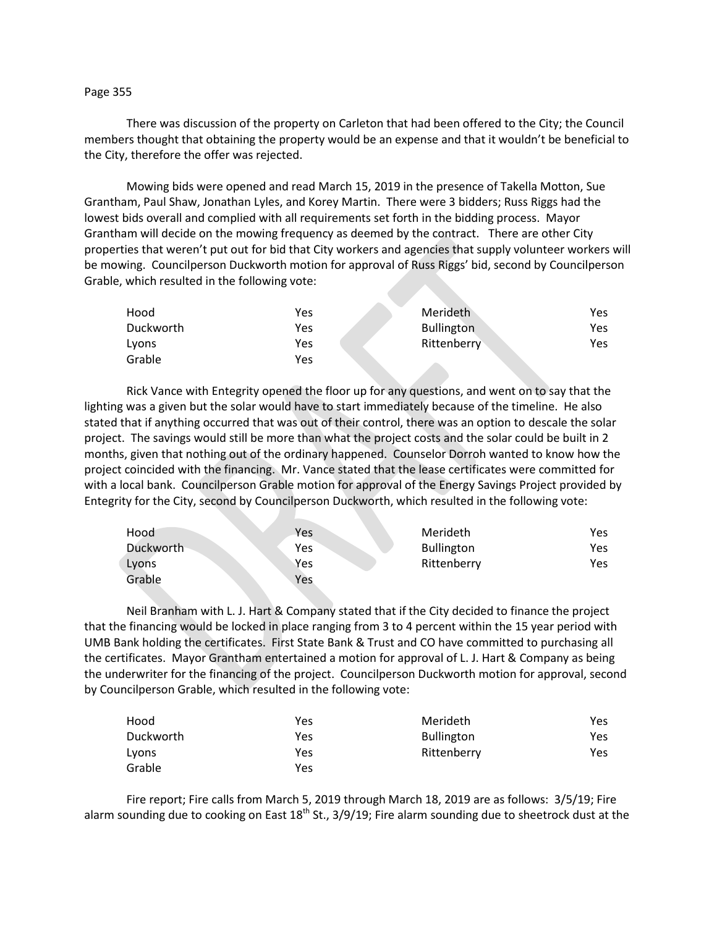#### Page 355

There was discussion of the property on Carleton that had been offered to the City; the Council members thought that obtaining the property would be an expense and that it wouldn't be beneficial to the City, therefore the offer was rejected.

Mowing bids were opened and read March 15, 2019 in the presence of Takella Motton, Sue Grantham, Paul Shaw, Jonathan Lyles, and Korey Martin. There were 3 bidders; Russ Riggs had the lowest bids overall and complied with all requirements set forth in the bidding process. Mayor Grantham will decide on the mowing frequency as deemed by the contract. There are other City properties that weren't put out for bid that City workers and agencies that supply volunteer workers will be mowing. Councilperson Duckworth motion for approval of Russ Riggs' bid, second by Councilperson Grable, which resulted in the following vote:

| Hood      | Yes | Merideth          | <b>Yes</b> |
|-----------|-----|-------------------|------------|
| Duckworth | Yes | <b>Bullington</b> | Yes.       |
| Lvons     | Yes | Rittenberry       | Yes        |
| Grable    | Yes |                   |            |

Rick Vance with Entegrity opened the floor up for any questions, and went on to say that the lighting was a given but the solar would have to start immediately because of the timeline. He also stated that if anything occurred that was out of their control, there was an option to descale the solar project. The savings would still be more than what the project costs and the solar could be built in 2 months, given that nothing out of the ordinary happened. Counselor Dorroh wanted to know how the project coincided with the financing. Mr. Vance stated that the lease certificates were committed for with a local bank. Councilperson Grable motion for approval of the Energy Savings Project provided by Entegrity for the City, second by Councilperson Duckworth, which resulted in the following vote:

| Hood      | Yes | Merideth          | Yes |
|-----------|-----|-------------------|-----|
| Duckworth | Yes | <b>Bullington</b> | Yes |
| Lyons     | Yes | Rittenberry       | Yes |
| Grable    | Yes |                   |     |

Neil Branham with L. J. Hart & Company stated that if the City decided to finance the project that the financing would be locked in place ranging from 3 to 4 percent within the 15 year period with UMB Bank holding the certificates. First State Bank & Trust and CO have committed to purchasing all the certificates. Mayor Grantham entertained a motion for approval of L. J. Hart & Company as being the underwriter for the financing of the project. Councilperson Duckworth motion for approval, second by Councilperson Grable, which resulted in the following vote:

| Hood      | Yes | Merideth          | Yes |
|-----------|-----|-------------------|-----|
| Duckworth | Yes | <b>Bullington</b> | Yes |
| Lyons     | Yes | Rittenberry       | Yes |
| Grable    | Yes |                   |     |

Fire report; Fire calls from March 5, 2019 through March 18, 2019 are as follows: 3/5/19; Fire alarm sounding due to cooking on East  $18<sup>th</sup>$  St., 3/9/19; Fire alarm sounding due to sheetrock dust at the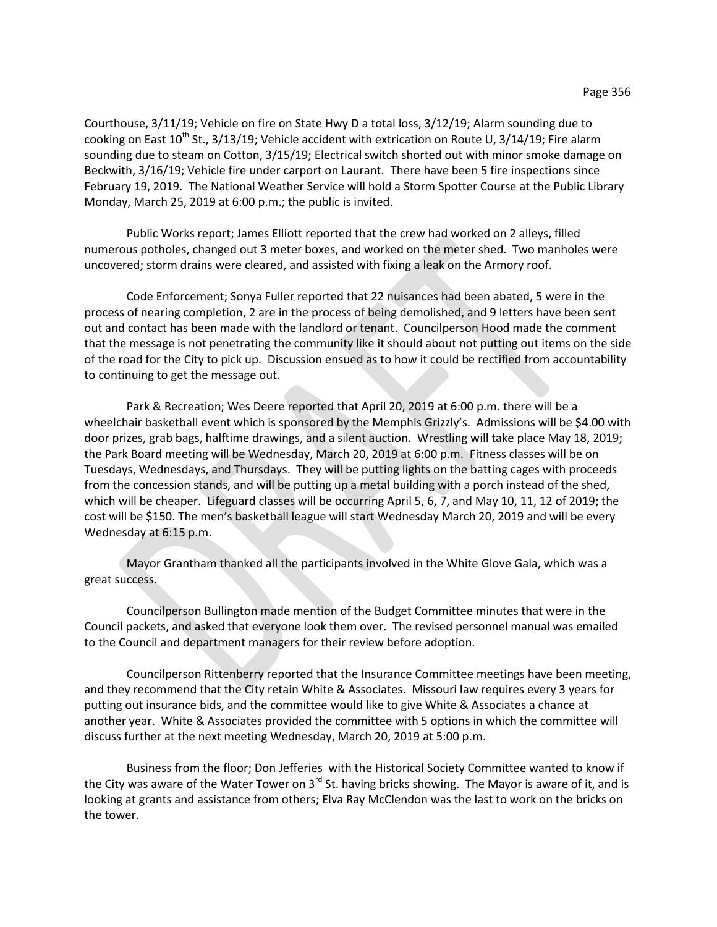Courthouse, 3/11/19; Vehicle on fire on State Hwy D a total loss, 3/12/19; Alarm sounding due to cooking on East  $10^{th}$  St., 3/13/19; Vehicle accident with extrication on Route U, 3/14/19; Fire alarm sounding due to steam on Cotton, 3/15/19; Electrical switch shorted out with minor smoke damage on Beckwith, 3/16/19; Vehicle fire under carport on Laurant. There have been 5 fire inspections since February 19, 2019. The National Weather Service will hold a Storm Spotter Course at the Public Library Monday, March 25, 2019 at 6:00 p.m.; the public is invited.

Public Works report; James Elliott reported that the crew had worked on 2 alleys, filled numerous potholes, changed out 3 meter boxes, and worked on the meter shed. Two manholes were uncovered; storm drains were cleared, and assisted with fixing a leak on the Armory roof.

Code Enforcement; Sonya Fuller reported that 22 nuisances had been abated, 5 were in the process of nearing completion, 2 are in the process of being demolished, and 9 letters have been sent out and contact has been made with the landlord or tenant. Councilperson Hood made the comment that the message is not penetrating the community like it should about not putting out items on the side of the road for the City to pick up. Discussion ensued as to how it could be rectified from accountability to continuing to get the message out.

Park & Recreation; Wes Deere reported that April 20, 2019 at 6:00 p.m. there will be a wheelchair basketball event which is sponsored by the Memphis Grizzly's. Admissions will be \$4.00 with door prizes, grab bags, halftime drawings, and a silent auction. Wrestling will take place May 18, 2019; the Park Board meeting will be Wednesday, March 20, 2019 at 6:00 p.m. Fitness classes will be on Tuesdays, Wednesdays, and Thursdays. They will be putting lights on the batting cages with proceeds from the concession stands, and will be putting up a metal building with a porch instead of the shed, which will be cheaper. Lifeguard classes will be occurring April 5, 6, 7, and May 10, 11, 12 of 2019; the cost will be \$150. The men's basketball league will start Wednesday March 20, 2019 and will be every Wednesday at 6:15 p.m.

Mayor Grantham thanked all the participants involved in the White Glove Gala, which was a great success.

Councilperson Bullington made mention of the Budget Committee minutes that were in the Council packets, and asked that everyone look them over. The revised personnel manual was emailed to the Council and department managers for their review before adoption.

Councilperson Rittenberry reported that the Insurance Committee meetings have been meeting, and they recommend that the City retain White & Associates. Missouri law requires every 3 years for putting out insurance bids, and the committee would like to give White & Associates a chance at another year. White & Associates provided the committee with 5 options in which the committee will discuss further at the next meeting Wednesday, March 20, 2019 at 5:00 p.m.

Business from the floor; Don Jefferies with the Historical Society Committee wanted to know if the City was aware of the Water Tower on 3<sup>rd</sup> St. having bricks showing. The Mayor is aware of it, and is looking at grants and assistance from others; Elva Ray McClendon was the last to work on the bricks on the tower.